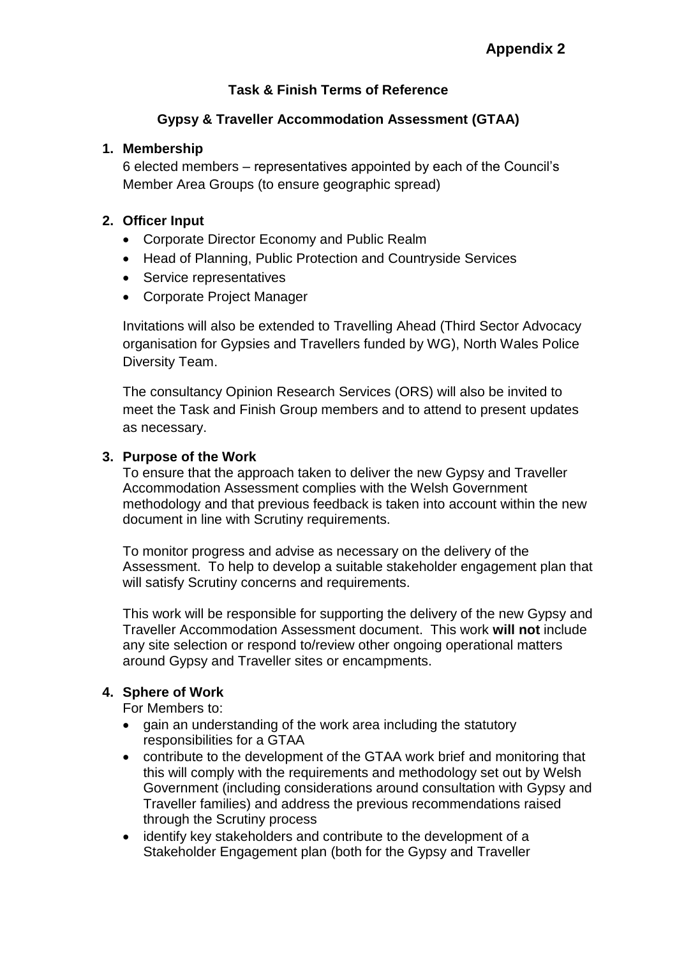# **Task & Finish Terms of Reference**

# **Gypsy & Traveller Accommodation Assessment (GTAA)**

### **1. Membership**

6 elected members – representatives appointed by each of the Council's Member Area Groups (to ensure geographic spread)

### **2. Officer Input**

- Corporate Director Economy and Public Realm
- Head of Planning, Public Protection and Countryside Services
- Service representatives
- Corporate Project Manager

Invitations will also be extended to Travelling Ahead (Third Sector Advocacy organisation for Gypsies and Travellers funded by WG), North Wales Police Diversity Team.

The consultancy Opinion Research Services (ORS) will also be invited to meet the Task and Finish Group members and to attend to present updates as necessary.

## **3. Purpose of the Work**

To ensure that the approach taken to deliver the new Gypsy and Traveller Accommodation Assessment complies with the Welsh Government methodology and that previous feedback is taken into account within the new document in line with Scrutiny requirements.

To monitor progress and advise as necessary on the delivery of the Assessment. To help to develop a suitable stakeholder engagement plan that will satisfy Scrutiny concerns and requirements.

This work will be responsible for supporting the delivery of the new Gypsy and Traveller Accommodation Assessment document. This work **will not** include any site selection or respond to/review other ongoing operational matters around Gypsy and Traveller sites or encampments.

## **4. Sphere of Work**

For Members to:

- gain an understanding of the work area including the statutory responsibilities for a GTAA
- contribute to the development of the GTAA work brief and monitoring that this will comply with the requirements and methodology set out by Welsh Government (including considerations around consultation with Gypsy and Traveller families) and address the previous recommendations raised through the Scrutiny process
- identify key stakeholders and contribute to the development of a Stakeholder Engagement plan (both for the Gypsy and Traveller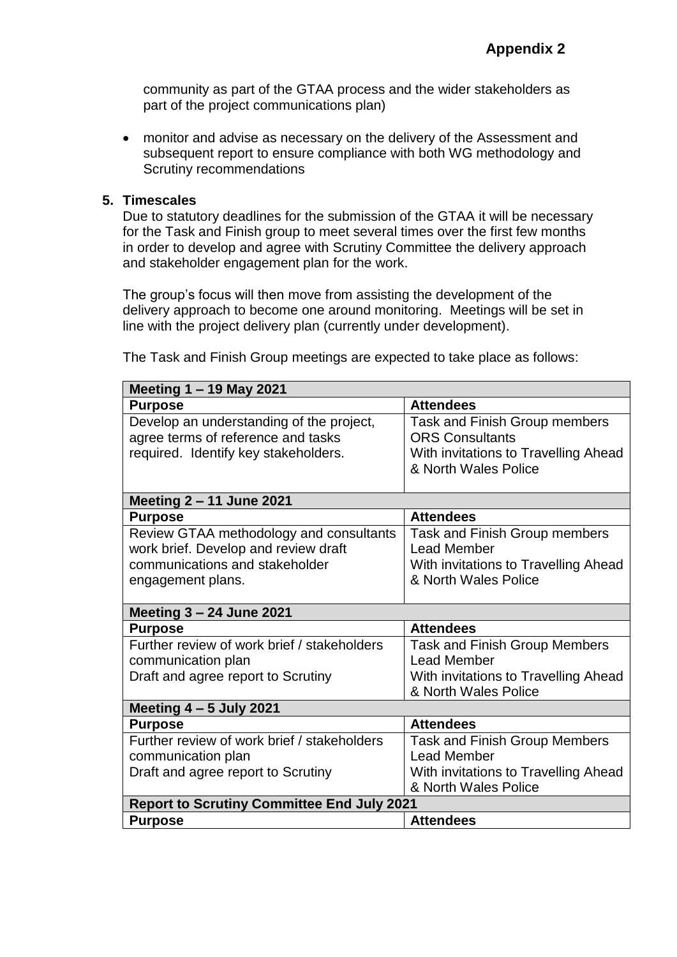community as part of the GTAA process and the wider stakeholders as part of the project communications plan)

 monitor and advise as necessary on the delivery of the Assessment and subsequent report to ensure compliance with both WG methodology and Scrutiny recommendations

#### **5. Timescales**

Due to statutory deadlines for the submission of the GTAA it will be necessary for the Task and Finish group to meet several times over the first few months in order to develop and agree with Scrutiny Committee the delivery approach and stakeholder engagement plan for the work.

The group's focus will then move from assisting the development of the delivery approach to become one around monitoring. Meetings will be set in line with the project delivery plan (currently under development).

| Meeting 1 - 19 May 2021                           |                                      |
|---------------------------------------------------|--------------------------------------|
| <b>Purpose</b>                                    | <b>Attendees</b>                     |
| Develop an understanding of the project,          | Task and Finish Group members        |
| agree terms of reference and tasks                | <b>ORS Consultants</b>               |
| required. Identify key stakeholders.              | With invitations to Travelling Ahead |
|                                                   | & North Wales Police                 |
|                                                   |                                      |
| Meeting 2 - 11 June 2021                          |                                      |
| <b>Purpose</b>                                    | <b>Attendees</b>                     |
| Review GTAA methodology and consultants           | <b>Task and Finish Group members</b> |
| work brief. Develop and review draft              | <b>Lead Member</b>                   |
| communications and stakeholder                    | With invitations to Travelling Ahead |
| engagement plans.                                 | & North Wales Police                 |
|                                                   |                                      |
| Meeting 3 - 24 June 2021                          |                                      |
| <b>Purpose</b>                                    | <b>Attendees</b>                     |
| Further review of work brief / stakeholders       | <b>Task and Finish Group Members</b> |
| communication plan                                | <b>Lead Member</b>                   |
| Draft and agree report to Scrutiny                | With invitations to Travelling Ahead |
|                                                   | & North Wales Police                 |
| Meeting $4 - 5$ July 2021                         |                                      |
| <b>Purpose</b>                                    | <b>Attendees</b>                     |
| Further review of work brief / stakeholders       | <b>Task and Finish Group Members</b> |
| communication plan                                | <b>Lead Member</b>                   |
| Draft and agree report to Scrutiny                | With invitations to Travelling Ahead |
|                                                   | & North Wales Police                 |
| <b>Report to Scrutiny Committee End July 2021</b> |                                      |
| <b>Purpose</b>                                    | <b>Attendees</b>                     |

The Task and Finish Group meetings are expected to take place as follows: